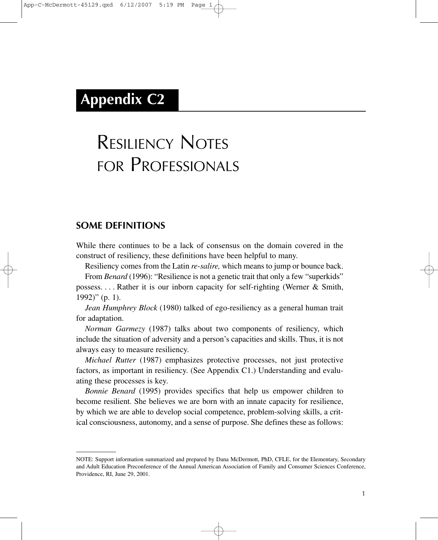# **Appendix C2**

# RESILIENCY NOTES FOR PROFESSIONALS

#### **SOME DEFINITIONS**

While there continues to be a lack of consensus on the domain covered in the construct of resiliency, these definitions have been helpful to many.

Resiliency comes from the Latin *re-salire,* which means to jump or bounce back.

From *Benard* (1996): "Resilience is not a genetic trait that only a few "superkids" possess. . . . Rather it is our inborn capacity for self-righting (Werner & Smith,  $1992$ )" (p. 1).

*Jean Humphrey Block* (1980) talked of ego-resiliency as a general human trait for adaptation.

*Norman Garmezy* (1987) talks about two components of resiliency, which include the situation of adversity and a person's capacities and skills. Thus, it is not always easy to measure resiliency.

*Michael Rutter* (1987) emphasizes protective processes, not just protective factors, as important in resiliency. (See Appendix C1.) Understanding and evaluating these processes is key.

*Bonnie Benard* (1995) provides specifics that help us empower children to become resilient. She believes we are born with an innate capacity for resilience, by which we are able to develop social competence, problem-solving skills, a critical consciousness, autonomy, and a sense of purpose. She defines these as follows:

NOTE: Support information summarized and prepared by Dana McDermott, PhD, CFLE, for the Elementary, Secondary and Adult Education Preconference of the Annual American Association of Family and Consumer Sciences Conference, Providence, RI, June 29, 2001.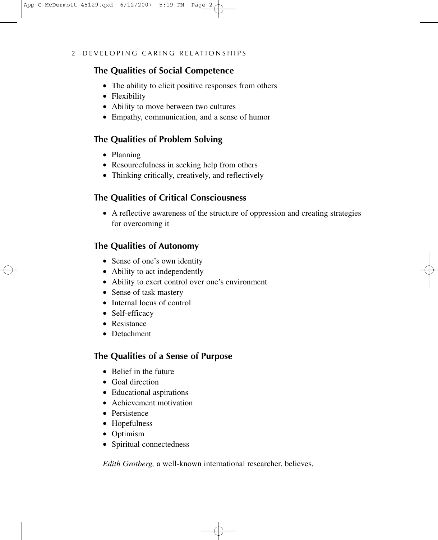#### **The Qualities of Social Competence**

- The ability to elicit positive responses from others
- Flexibility
- Ability to move between two cultures
- Empathy, communication, and a sense of humor

#### **The Qualities of Problem Solving**

- Planning
- Resourcefulness in seeking help from others
- Thinking critically, creatively, and reflectively

#### **The Qualities of Critical Consciousness**

• A reflective awareness of the structure of oppression and creating strategies for overcoming it

# **The Qualities of Autonomy**

- Sense of one's own identity
- Ability to act independently
- Ability to exert control over one's environment
- Sense of task mastery
- Internal locus of control
- Self-efficacy
- Resistance
- Detachment

# **The Qualities of a Sense of Purpose**

- Belief in the future
- Goal direction
- Educational aspirations
- Achievement motivation
- Persistence
- Hopefulness
- Optimism
- Spiritual connectedness

*Edith Grotberg,* a well-known international researcher, believes,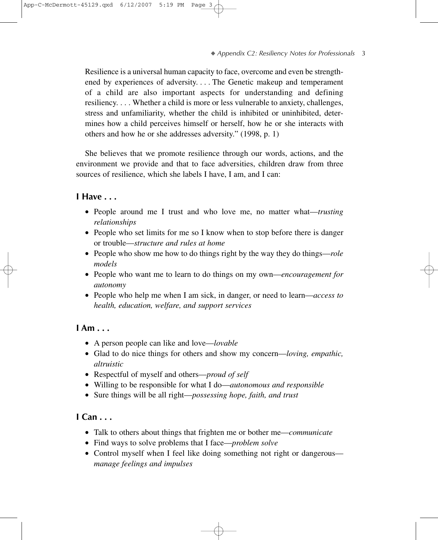Resilience is a universal human capacity to face, overcome and even be strengthened by experiences of adversity.... The Genetic makeup and temperament of a child are also important aspects for understanding and defining resiliency.... Whether a child is more or less vulnerable to anxiety, challenges, stress and unfamiliarity, whether the child is inhibited or uninhibited, determines how a child perceives himself or herself, how he or she interacts with others and how he or she addresses adversity." (1998, p. 1)

She believes that we promote resilience through our words, actions, and the environment we provide and that to face adversities, children draw from three sources of resilience, which she labels I have, I am, and I can:

#### **I Have . . .**

- People around me I trust and who love me, no matter what—*trusting relationships*
- People who set limits for me so I know when to stop before there is danger or trouble—*structure and rules at home*
- People who show me how to do things right by the way they do things—*role models*
- People who want me to learn to do things on my own—*encouragement for autonomy*
- People who help me when I am sick, in danger, or need to learn—*access to health, education, welfare, and support services*

#### **I Am . . .**

- A person people can like and love—*lovable*
- Glad to do nice things for others and show my concern—*loving, empathic, altruistic*
- Respectful of myself and others—*proud of self*
- Willing to be responsible for what I do—*autonomous and responsible*
- Sure things will be all right—*possessing hope, faith, and trust*

#### **I Can . . .**

- Talk to others about things that frighten me or bother me—*communicate*
- Find ways to solve problems that I face—*problem solve*
- Control myself when I feel like doing something not right or dangerous *manage feelings and impulses*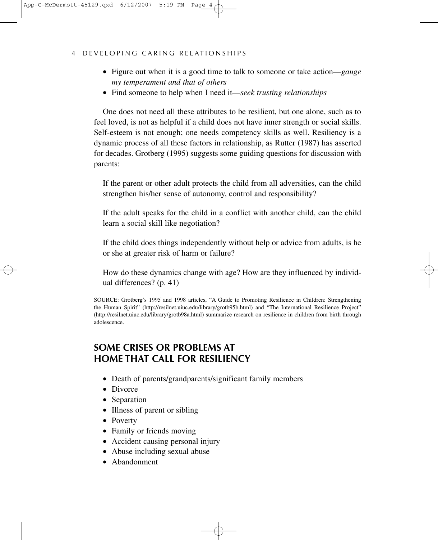#### 4 DEVELOPING CARING RELATIONSHIPS

- Figure out when it is a good time to talk to someone or take action—*gauge my temperament and that of others*
- Find someone to help when I need it—*seek trusting relationships*

One does not need all these attributes to be resilient, but one alone, such as to feel loved, is not as helpful if a child does not have inner strength or social skills. Self-esteem is not enough; one needs competency skills as well. Resiliency is a dynamic process of all these factors in relationship, as Rutter (1987) has asserted for decades. Grotberg (1995) suggests some guiding questions for discussion with parents:

If the parent or other adult protects the child from all adversities, can the child strengthen his/her sense of autonomy, control and responsibility?

If the adult speaks for the child in a conflict with another child, can the child learn a social skill like negotiation?

If the child does things independently without help or advice from adults, is he or she at greater risk of harm or failure?

How do these dynamics change with age? How are they influenced by individual differences? (p. 41)

SOURCE: Grotberg's 1995 and 1998 articles, "A Guide to Promoting Resilience in Children: Strengthening the Human Spirit" (http://resilnet.uiuc.edu/library/grotb95b.html) and "The International Resilience Project" (http://resilnet.uiuc.edu/library/grotb98a.html) summarize research on resilience in children from birth through adolescence.

# **SOME CRISES OR PROBLEMS AT HOME THAT CALL FOR RESILIENCY**

- Death of parents/grandparents/significant family members
- Divorce
- Separation
- Illness of parent or sibling
- Poverty
- Family or friends moving
- Accident causing personal injury
- Abuse including sexual abuse
- Abandonment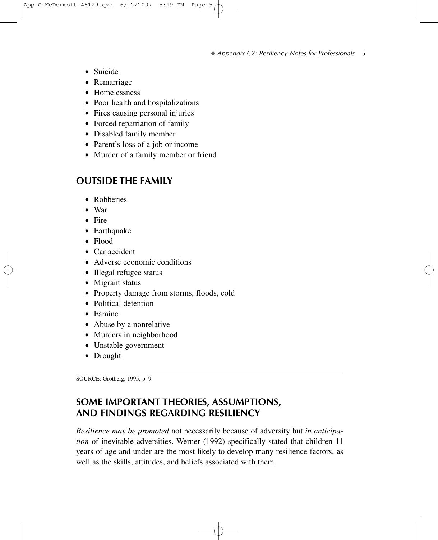- Suicide
- Remarriage
- Homelessness
- Poor health and hospitalizations
- Fires causing personal injuries
- Forced repatriation of family
- Disabled family member
- Parent's loss of a job or income
- Murder of a family member or friend

#### **OUTSIDE THE FAMILY**

- Robberies
- War
- Fire
- Earthquake
- Flood
- Car accident
- Adverse economic conditions
- Illegal refugee status
- Migrant status
- Property damage from storms, floods, cold
- Political detention
- Famine
- Abuse by a nonrelative
- Murders in neighborhood
- Unstable government
- Drought

SOURCE: Grotberg, 1995, p. 9.

#### **SOME IMPORTANT THEORIES, ASSUMPTIONS, AND FINDINGS REGARDING RESILIENCY**

*Resilience may be promoted* not necessarily because of adversity but *in anticipation* of inevitable adversities. Werner (1992) specifically stated that children 11 years of age and under are the most likely to develop many resilience factors, as well as the skills, attitudes, and beliefs associated with them.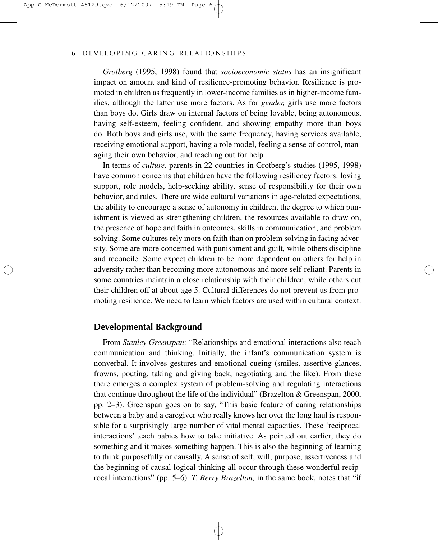*Grotberg* (1995, 1998) found that *socioeconomic status* has an insignificant impact on amount and kind of resilience-promoting behavior. Resilience is promoted in children as frequently in lower-income families as in higher-income families, although the latter use more factors. As for *gender,* girls use more factors than boys do. Girls draw on internal factors of being lovable, being autonomous, having self-esteem, feeling confident, and showing empathy more than boys do. Both boys and girls use, with the same frequency, having services available, receiving emotional support, having a role model, feeling a sense of control, managing their own behavior, and reaching out for help.

In terms of *culture,* parents in 22 countries in Grotberg's studies (1995, 1998) have common concerns that children have the following resiliency factors: loving support, role models, help-seeking ability, sense of responsibility for their own behavior, and rules. There are wide cultural variations in age-related expectations, the ability to encourage a sense of autonomy in children, the degree to which punishment is viewed as strengthening children, the resources available to draw on, the presence of hope and faith in outcomes, skills in communication, and problem solving. Some cultures rely more on faith than on problem solving in facing adversity. Some are more concerned with punishment and guilt, while others discipline and reconcile. Some expect children to be more dependent on others for help in adversity rather than becoming more autonomous and more self-reliant. Parents in some countries maintain a close relationship with their children, while others cut their children off at about age 5. Cultural differences do not prevent us from promoting resilience. We need to learn which factors are used within cultural context.

#### **Developmental Background**

From *Stanley Greenspan:* "Relationships and emotional interactions also teach communication and thinking. Initially, the infant's communication system is nonverbal. It involves gestures and emotional cueing (smiles, assertive glances, frowns, pouting, taking and giving back, negotiating and the like). From these there emerges a complex system of problem-solving and regulating interactions that continue throughout the life of the individual" (Brazelton & Greenspan, 2000, pp. 2–3). Greenspan goes on to say, "This basic feature of caring relationships between a baby and a caregiver who really knows her over the long haul is responsible for a surprisingly large number of vital mental capacities. These 'reciprocal interactions' teach babies how to take initiative. As pointed out earlier, they do something and it makes something happen. This is also the beginning of learning to think purposefully or causally. A sense of self, will, purpose, assertiveness and the beginning of causal logical thinking all occur through these wonderful reciprocal interactions" (pp. 5–6). *T. Berry Brazelton,* in the same book, notes that "if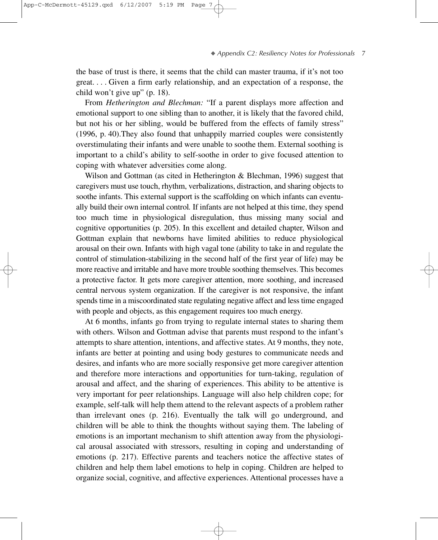the base of trust is there, it seems that the child can master trauma, if it's not too great.... Given a firm early relationship, and an expectation of a response, the child won't give up" (p. 18).

From *Hetherington and Blechman:* "If a parent displays more affection and emotional support to one sibling than to another, it is likely that the favored child, but not his or her sibling, would be buffered from the effects of family stress" (1996, p. 40).They also found that unhappily married couples were consistently overstimulating their infants and were unable to soothe them. External soothing is important to a child's ability to self-soothe in order to give focused attention to coping with whatever adversities come along.

Wilson and Gottman (as cited in Hetherington & Blechman, 1996) suggest that caregivers must use touch, rhythm, verbalizations, distraction, and sharing objects to soothe infants. This external support is the scaffolding on which infants can eventually build their own internal control*.* If infants are not helped at this time, they spend too much time in physiological disregulation, thus missing many social and cognitive opportunities (p. 205). In this excellent and detailed chapter, Wilson and Gottman explain that newborns have limited abilities to reduce physiological arousal on their own. Infants with high vagal tone (ability to take in and regulate the control of stimulation-stabilizing in the second half of the first year of life) may be more reactive and irritable and have more trouble soothing themselves. This becomes a protective factor. It gets more caregiver attention, more soothing, and increased central nervous system organization. If the caregiver is not responsive, the infant spends time in a miscoordinated state regulating negative affect and less time engaged with people and objects, as this engagement requires too much energy.

At 6 months, infants go from trying to regulate internal states to sharing them with others. Wilson and Gottman advise that parents must respond to the infant's attempts to share attention, intentions, and affective states. At 9 months, they note, infants are better at pointing and using body gestures to communicate needs and desires, and infants who are more socially responsive get more caregiver attention and therefore more interactions and opportunities for turn-taking, regulation of arousal and affect, and the sharing of experiences. This ability to be attentive is very important for peer relationships. Language will also help children cope; for example, self-talk will help them attend to the relevant aspects of a problem rather than irrelevant ones (p. 216). Eventually the talk will go underground, and children will be able to think the thoughts without saying them. The labeling of emotions is an important mechanism to shift attention away from the physiological arousal associated with stressors, resulting in coping and understanding of emotions (p. 217). Effective parents and teachers notice the affective states of children and help them label emotions to help in coping. Children are helped to organize social, cognitive, and affective experiences. Attentional processes have a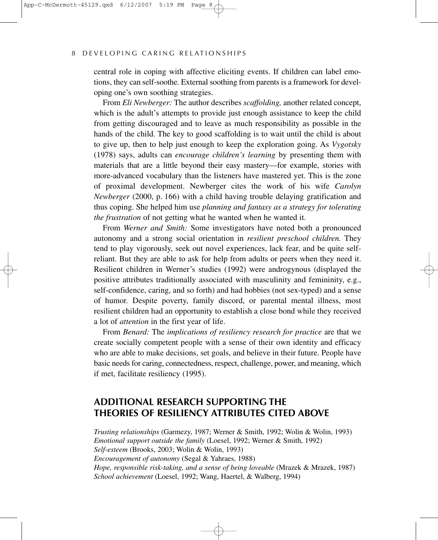central role in coping with affective eliciting events. If children can label emotions, they can self-soothe. External soothing from parents is a framework for developing one's own soothing strategies.

From *Eli Newberger:* The author describes *scaffolding,* another related concept, which is the adult's attempts to provide just enough assistance to keep the child from getting discouraged and to leave as much responsibility as possible in the hands of the child. The key to good scaffolding is to wait until the child is about to give up, then to help just enough to keep the exploration going. As *Vygotsky* (1978) says, adults can *encourage children's learning* by presenting them with materials that are a little beyond their easy mastery—for example, stories with more-advanced vocabulary than the listeners have mastered yet. This is the zone of proximal development. Newberger cites the work of his wife *Carolyn Newberger* (2000, p. 166) with a child having trouble delaying gratification and thus coping. She helped him use *planning and fantasy as a strategy for tolerating the frustration* of not getting what he wanted when he wanted it.

From *Werner and Smith:* Some investigators have noted both a pronounced autonomy and a strong social orientation in *resilient preschool children.* They tend to play vigorously, seek out novel experiences, lack fear, and be quite selfreliant. But they are able to ask for help from adults or peers when they need it. Resilient children in Werner's studies (1992) were androgynous (displayed the positive attributes traditionally associated with masculinity and femininity, e.g., self-confidence, caring, and so forth) and had hobbies (not sex-typed) and a sense of humor. Despite poverty, family discord, or parental mental illness, most resilient children had an opportunity to establish a close bond while they received a lot of *attention* in the first year of life.

From *Benard:* The *implications of resiliency research for practice* are that we create socially competent people with a sense of their own identity and efficacy who are able to make decisions, set goals, and believe in their future. People have basic needs for caring, connectedness, respect, challenge, power, and meaning, which if met, facilitate resiliency (1995).

#### **ADDITIONAL RESEARCH SUPPORTING THE THEORIES OF RESILIENCY ATTRIBUTES CITED ABOVE**

*Trusting relationships* (Garmezy, 1987; Werner & Smith, 1992; Wolin & Wolin, 1993) *Emotional support outside the family* (Loesel, 1992; Werner & Smith, 1992) *Self-esteem* (Brooks, 2003; Wolin & Wolin, 1993) *Encouragement of autonomy* (Segal & Yahraes, 1988) *Hope, responsible risk-taking, and a sense of being loveable* (Mrazek & Mrazek, 1987) *School achievement* (Loesel, 1992; Wang, Haertel, & Walberg, 1994)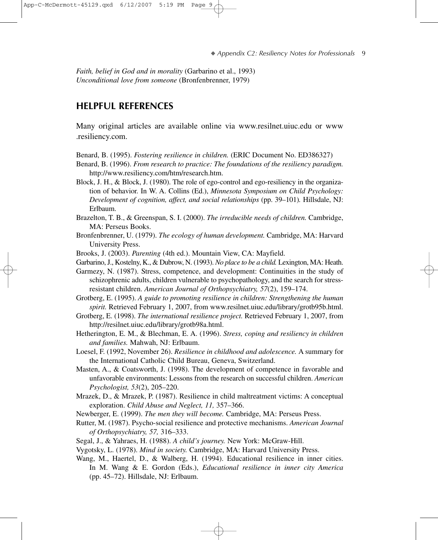*Faith, belief in God and in morality* (Garbarino et al., 1993) *Unconditional love from someone* (Bronfenbrenner, 1979)

#### **HELPFUL REFERENCES**

Many original articles are available online via www.resilnet.uiuc.edu or www .resiliency.com.

- Benard, B. (1995). *Fostering resilience in children.* (ERIC Document No. ED386327)
- Benard, B. (1996). *From research to practice: The foundations of the resiliency paradigm.* http://www.resiliency.com/htm/research.htm.
- Block, J. H., & Block, J. (1980). The role of ego-control and ego-resiliency in the organization of behavior. In W. A. Collins (Ed.), *Minnesota Symposium on Child Psychology: Development of cognition, affect, and social relationships* (pp. 39–101)*.* Hillsdale, NJ: Erlbaum.
- Brazelton, T. B., & Greenspan, S. I. (2000). *The irreducible needs of children.* Cambridge, MA: Perseus Books.
- Bronfenbrenner, U. (1979). *The ecology of human development.* Cambridge, MA: Harvard University Press.
- Brooks, J. (2003). *Parenting* (4th ed.). Mountain View, CA: Mayfield.
- Garbarino, J., Kostelny, K., & Dubrow, N. (1993). *No place to be a child.* Lexington, MA: Heath.

Garmezy, N. (1987). Stress, competence, and development: Continuities in the study of schizophrenic adults, children vulnerable to psychopathology, and the search for stressresistant children. *American Journal of Orthopsychiatry, 57*(2), 159–174.

Grotberg, E. (1995). *A guide to promoting resilience in children: Strengthening the human spirit.* Retrieved February 1, 2007, from www.resilnet.uiuc.edu/library/grotb95b.html.

- Grotberg, E. (1998). *The international resilience project.* Retrieved February 1, 2007, from http://resilnet.uiuc.edu/library/grotb98a.html.
- Hetherington, E. M., & Blechman, E. A. (1996). *Stress, coping and resiliency in children and families.* Mahwah, NJ: Erlbaum.
- Loesel, F. (1992, November 26). *Resilience in childhood and adolescence.* A summary for the International Catholic Child Bureau, Geneva, Switzerland.
- Masten, A., & Coatsworth, J. (1998). The development of competence in favorable and unfavorable environments: Lessons from the research on successful children. *American Psychologist, 53*(2), 205–220.
- Mrazek, D., & Mrazek, P. (1987). Resilience in child maltreatment victims: A conceptual exploration. *Child Abuse and Neglect, 11,* 357–366.
- Newberger, E. (1999). *The men they will become.* Cambridge, MA: Perseus Press.
- Rutter, M. (1987). Psycho-social resilience and protective mechanisms. *American Journal of Orthopsychiatry, 57,* 316–333.
- Segal, J., & Yahraes, H. (1988). *A child's journey.* New York: McGraw-Hill.
- Vygotsky, L. (1978). *Mind in society.* Cambridge, MA: Harvard University Press.
- Wang, M., Haertel, D., & Walberg, H. (1994). Educational resilience in inner cities. In M. Wang & E. Gordon (Eds.), *Educational resilience in inner city America* (pp. 45–72). Hillsdale, NJ: Erlbaum.